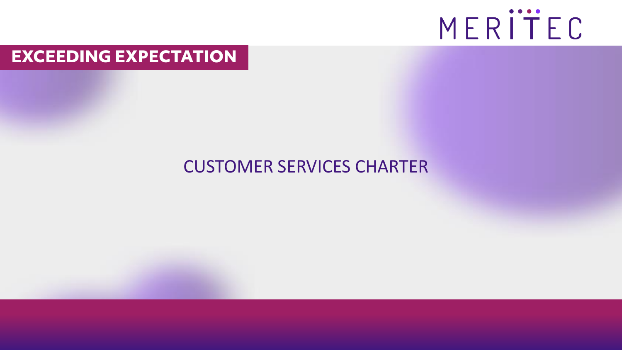

#### **EXCEEDING EXPECTATION**

#### CUSTOMER SERVICES CHARTER

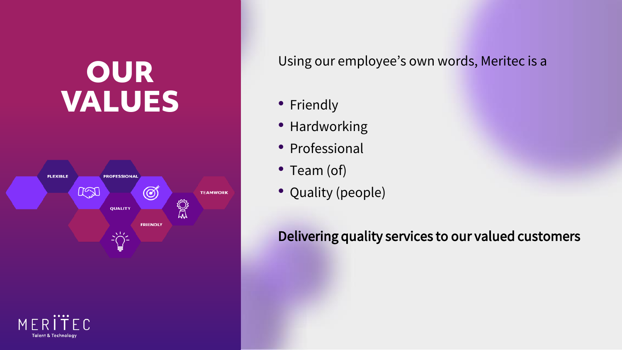# **OUR VALUES**





Using our employee's own words, Meritec is a

- Friendly
- Hardworking
- Professional
- Team (of)
- Quality (people)

Delivering quality services to our valued customers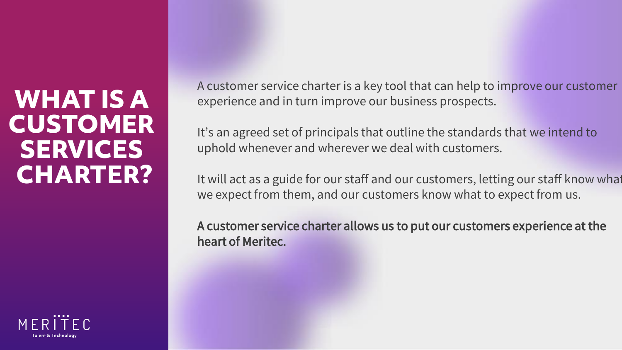### **WHAT IS A CUSTOMER SERVICES CHARTER?**

A customer service charter is a key tool that can help to improve our customer experience and in turn improve our business prospects.

It's an agreed set of principals that outline the standards that we intend to uphold whenever and wherever we deal with customers.

It will act as a guide for our staff and our customers, letting our staff know what we expect from them, and our customers know what to expect from us.

A customer service charter allows us to put our customers experience at the heart of Meritec.

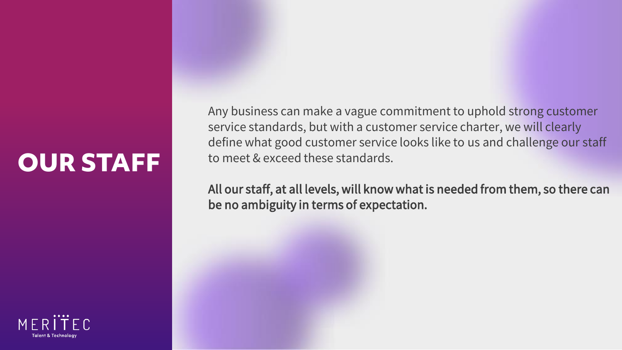# **OUR STAFF**

Any business can make a vague commitment to uphold strong customer service standards, but with a customer service charter, we will clearly define what good customer service looks like to us and challenge our staff to meet & exceed these standards.

All our staff, at all levels, will know what is needed from them, so there can be no ambiguity in terms of expectation.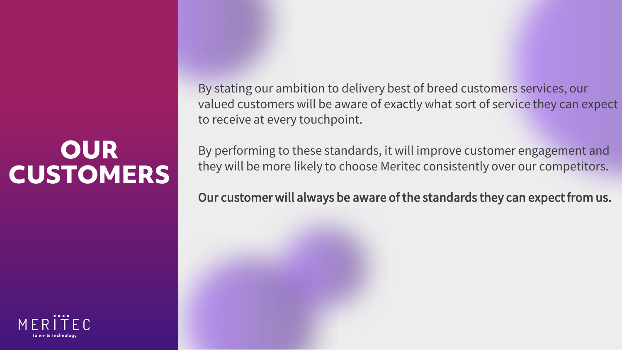## **OUR CUSTOMERS**



By stating our ambition to delivery best of breed customers services, our valued customers will be aware of exactly what sort of service they can expect to receive at every touchpoint.

By performing to these standards, it will improve customer engagement and they will be more likely to choose Meritec consistently over our competitors.

Our customer will always be aware of the standards they can expect from us.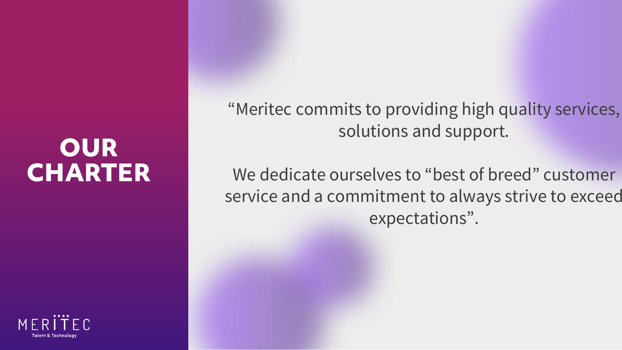## **OUR CHARTER**

"Meritec commits to providing high quality services, solutions and support.

We dedicate ourselves to "best of breed" customer service and a commitment to always strive to exceed expectations".